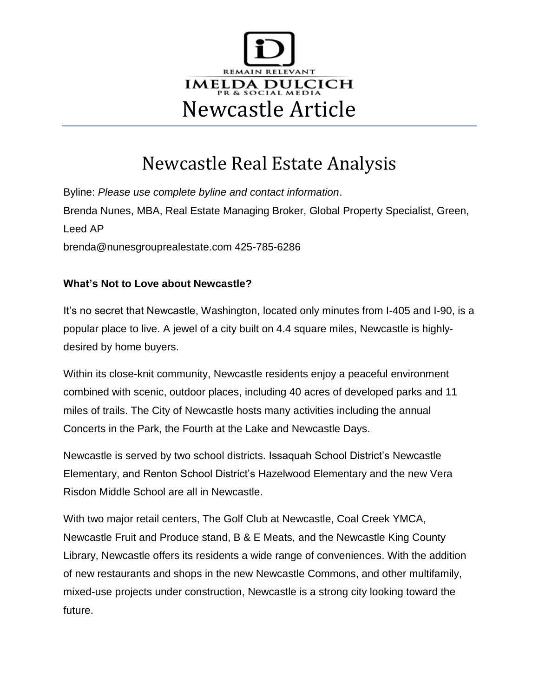

# Newcastle Real Estate Analysis

Byline: *Please use complete byline and contact information*. Brenda Nunes, MBA, Real Estate Managing Broker, Global Property Specialist, Green, Leed AP brenda@nunesgrouprealestate.com 425-785-6286

### **What's Not to Love about Newcastle?**

It's no secret that Newcastle, Washington, located only minutes from I-405 and I-90, is a popular place to live. A jewel of a city built on 4.4 square miles, Newcastle is highlydesired by home buyers.

Within its close-knit community, Newcastle residents enjoy a peaceful environment combined with scenic, outdoor places, including 40 acres of developed parks and 11 miles of trails. The City of Newcastle hosts many activities including the annual Concerts in the Park, the Fourth at the Lake and Newcastle Days.

Newcastle is served by two school districts. Issaquah School District's Newcastle Elementary, and Renton School District's Hazelwood Elementary and the new Vera Risdon Middle School are all in Newcastle.

With two major retail centers, The Golf Club at Newcastle, Coal Creek YMCA, Newcastle Fruit and Produce stand, B & E Meats, and the Newcastle King County Library, Newcastle offers its residents a wide range of conveniences. With the addition of new restaurants and shops in the new Newcastle Commons, and other multifamily, mixed-use projects under construction, Newcastle is a strong city looking toward the future.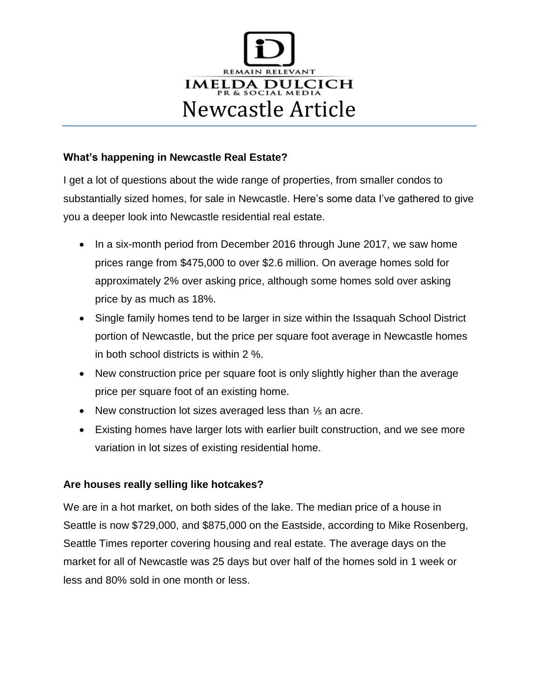

#### **What's happening in Newcastle Real Estate?**

I get a lot of questions about the wide range of properties, from smaller condos to substantially sized homes, for sale in Newcastle. Here's some data I've gathered to give you a deeper look into Newcastle residential real estate.

- In a six-month period from December 2016 through June 2017, we saw home prices range from \$475,000 to over \$2.6 million. On average homes sold for approximately 2% over asking price, although some homes sold over asking price by as much as 18%.
- Single family homes tend to be larger in size within the Issaquah School District portion of Newcastle, but the price per square foot average in Newcastle homes in both school districts is within 2 %.
- New construction price per square foot is only slightly higher than the average price per square foot of an existing home.
- New construction lot sizes averaged less than  $\frac{1}{5}$  an acre.
- Existing homes have larger lots with earlier built construction, and we see more variation in lot sizes of existing residential home.

#### **Are houses really selling like hotcakes?**

We are in a hot market, on both sides of the lake. The median price of a house in Seattle is now \$729,000, and \$875,000 on the Eastside, according to Mike Rosenberg, Seattle Times reporter covering housing and real estate. The average days on the market for all of Newcastle was 25 days but over half of the homes sold in 1 week or less and 80% sold in one month or less.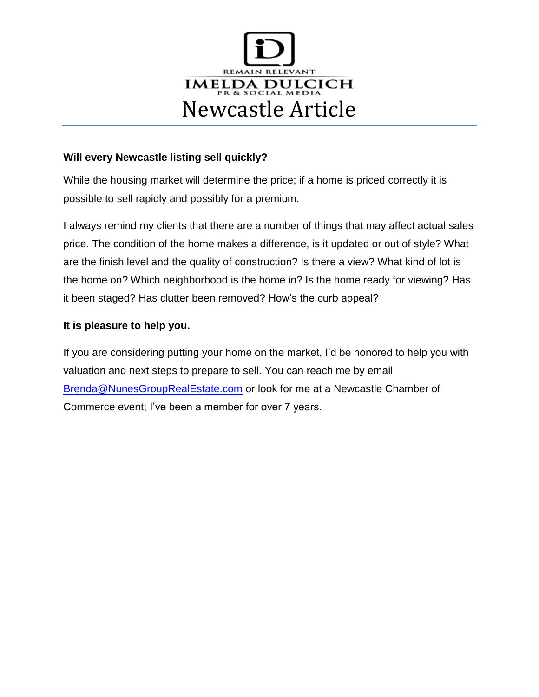

#### **Will every Newcastle listing sell quickly?**

While the housing market will determine the price; if a home is priced correctly it is possible to sell rapidly and possibly for a premium.

I always remind my clients that there are a number of things that may affect actual sales price. The condition of the home makes a difference, is it updated or out of style? What are the finish level and the quality of construction? Is there a view? What kind of lot is the home on? Which neighborhood is the home in? Is the home ready for viewing? Has it been staged? Has clutter been removed? How's the curb appeal?

#### **It is pleasure to help you.**

If you are considering putting your home on the market, I'd be honored to help you with valuation and next steps to prepare to sell. You can reach me by email [Brenda@NunesGroupRealEstate.com](mailto:Brenda@NunesGroupRealEstate.com) or look for me at a Newcastle Chamber of Commerce event; I've been a member for over 7 years.